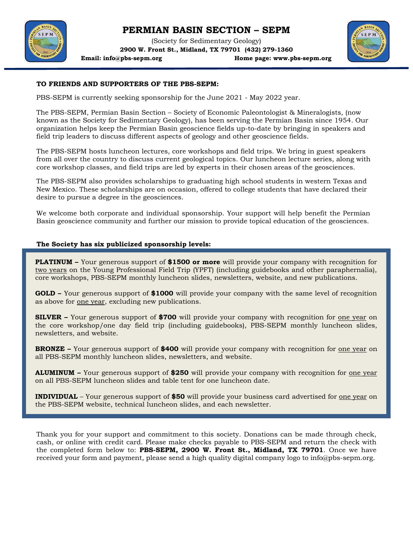# **PERMIAN BASIN SECTION – SEPM**

(Society for Sedimentary Geology) **2900 W. Front St., Midland, TX 79701 (432) 279-1360**



**Email: [info@pbs-sepm.org](mailto:info@pbs-sepm.org) Home page: [www.pbs-sepm.org](http://www.pbs-sepm.org/)**



## **TO FRIENDS AND SUPPORTERS OF THE PBS-SEPM:**

PBS-SEPM is currently seeking sponsorship for the June 2021 - May 2022 year.

The PBS-SEPM, Permian Basin Section – Society of Economic Paleontologist & Mineralogists, (now known as the Society for Sedimentary Geology), has been serving the Permian Basin since 1954. Our organization helps keep the Permian Basin geoscience fields up-to-date by bringing in speakers and field trip leaders to discuss different aspects of geology and other geoscience fields.

The PBS-SEPM hosts luncheon lectures, core workshops and field trips. We bring in guest speakers from all over the country to discuss current geological topics. Our luncheon lecture series, along with core workshop classes, and field trips are led by experts in their chosen areas of the geosciences.

The PBS-SEPM also provides scholarships to graduating high school students in western Texas and New Mexico. These scholarships are on occasion, offered to college students that have declared their desire to pursue a degree in the geosciences.

We welcome both corporate and individual sponsorship. Your support will help benefit the Permian Basin geoscience community and further our mission to provide topical education of the geosciences.

## **The Society has six publicized sponsorship levels:**

**PLATINUM –** Your generous support of **\$1500 or more** will provide your company with recognition for **PLATINUM –** Your generous support of **\$1500 or more** will provide your company with recognition for two years on the Young Professional Field Trip (YPFT) (including guidebooks and other paraphernalia), two years on the Young Professional Field Trip (YPFT) (including guidebooks and other paraphernalia), core workshops, PBS-SEPM monthly luncheon slides, newsletters, website, and new publications. core workshops, PBS-SEPM monthly luncheon slides, newsletters, website, and new publications.

GOLD - Your generous support of \$1000 will provide your company with the same level of recognition as above for one year, excluding new publications. as above for one year, excluding new publications.

**SILVER –** Your generous support of **\$700** will provide your company with recognition for one year on **SILVER –** Your generous support of **\$700** will provide your company with recognition for one year on the core workshop/one day field trip (including guidebooks), PBS-SEPM monthly luncheon slides, the core workshop/one day field trip (including guidebooks), PBS-SEPM monthly luncheon slides, newsletters, and website. newsletters, and website.

**BRONZE –** Your generous support of **\$400** will provide your company with recognition for one year on **BRONZE –** Your generous support of **\$400** will provide your company with recognition for one year on all PBS-SEPM monthly luncheon slides, newsletters, and website. all PBS-SEPM monthly luncheon slides, newsletters, and website.

**ALUMINUM –** Your generous support of **\$250** will provide your company with recognition for one year **ALUMINUM –** Your generous support of **\$250** will provide your company with recognition for one year on all PBS-SEPM luncheon slides and table tent for one luncheon date. on all PBS-SEPM luncheon slides and table tent for one luncheon date.

INDIVIDUAL – Your generous support of \$50 will provide your business card advertised for <u>one year</u> on the PBS-SEPM website, technical luncheon slides, and each newsletter.

Thank you for your support and commitment to this society. Donations can be made through check, cash, or online with credit card. Please make checks payable to PBS-SEPM and return the check with the completed form below to: **PBS-SEPM, 2900 W. Front St., Midland, TX 79701**. Once we have received your form and payment, please send a high quality digital company logo to [info@pbs-sepm.org.](mailto:info@pbs-sepm.org)